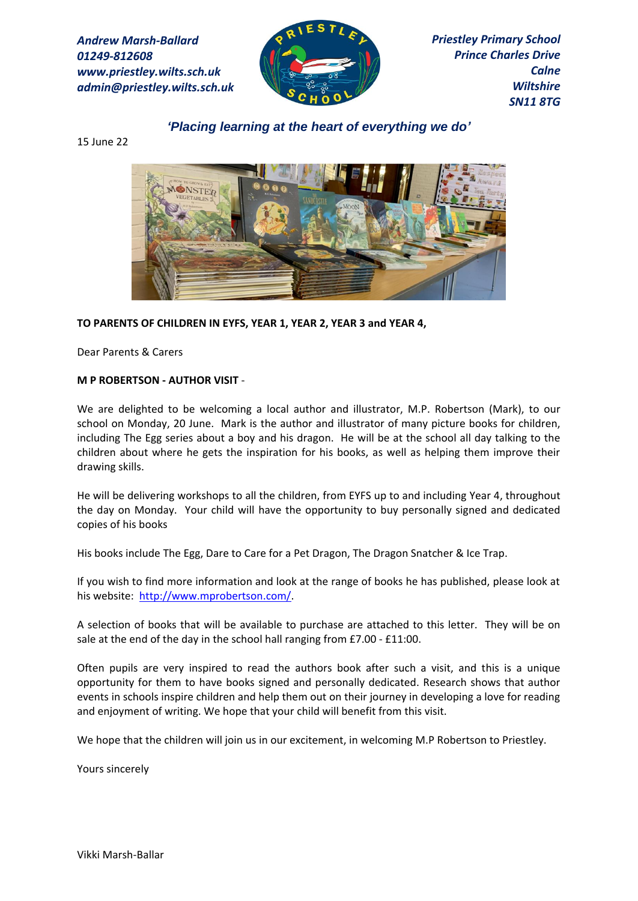*Andrew Marsh-Ballard 01249-812608 www.priestley.wilts.sch.uk admin@priestley.wilts.sch.uk* 



*Priestley Primary School Prince Charles Drive Calne Wiltshire SN11 8TG*

*'Placing learning at the heart of everything we do'*

15 June 22



## **TO PARENTS OF CHILDREN IN EYFS, YEAR 1, YEAR 2, YEAR 3 and YEAR 4,**

Dear Parents & Carers

## **M P ROBERTSON - AUTHOR VISIT** -

We are delighted to be welcoming a local author and illustrator, M.P. Robertson (Mark), to our school on Monday, 20 June. Mark is the author and illustrator of many picture books for children, including The Egg series about a boy and his dragon. He will be at the school all day talking to the children about where he gets the inspiration for his books, as well as helping them improve their drawing skills.

He will be delivering workshops to all the children, from EYFS up to and including Year 4, throughout the day on Monday. Your child will have the opportunity to buy personally signed and dedicated copies of his books

His books include The Egg, Dare to Care for a Pet Dragon, The Dragon Snatcher & Ice Trap.

If you wish to find more information and look at the range of books he has published, please look at his website: [http://www.mprobertson.com/.](http://www.mprobertson.com/)

A selection of books that will be available to purchase are attached to this letter. They will be on sale at the end of the day in the school hall ranging from £7.00 - £11:00.

Often pupils are very inspired to read the authors book after such a visit, and this is a unique opportunity for them to have books signed and personally dedicated. Research shows that author events in schools inspire children and help them out on their journey in developing a love for reading and enjoyment of writing. We hope that your child will benefit from this visit.

We hope that the children will join us in our excitement, in welcoming M.P Robertson to Priestley.

Yours sincerely